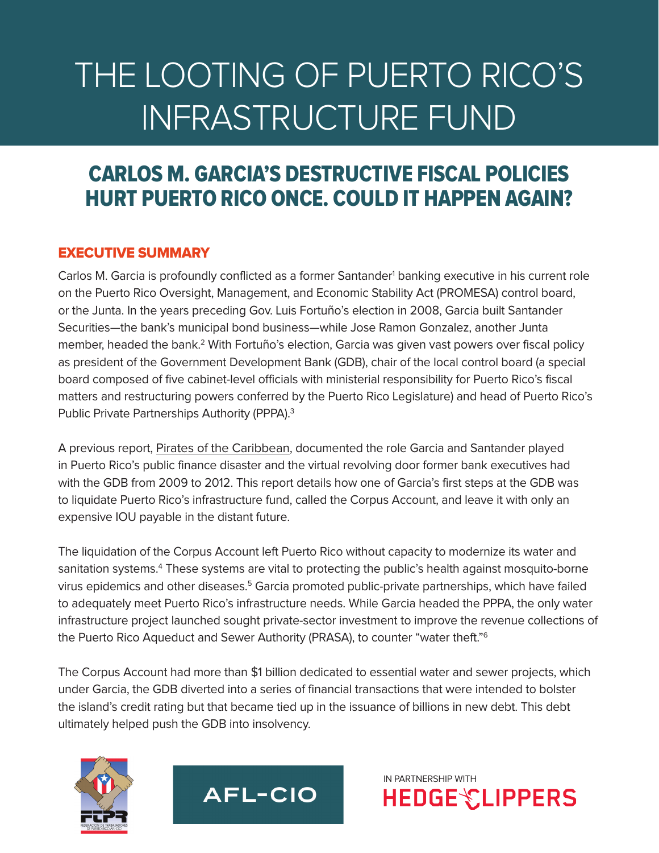# THE LOOTING OF PUERTO RICO'S INFRASTRUCTURE FUND

# CARLOS M. GARCIA'S DESTRUCTIVE FISCAL POLICIES HURT PUERTO RICO ONCE. COULD IT HAPPEN AGAIN?

# EXECUTIVE SUMMARY

Carlos M. Garcia is profoundly conflicted as a former Santander<sup>1</sup> banking executive in his current role on the Puerto Rico Oversight, Management, and Economic Stability Act (PROMESA) control board, or the Junta. In the years preceding Gov. Luis Fortuño's election in 2008, Garcia built Santander Securities—the bank's municipal bond business—while Jose Ramon Gonzalez, another Junta member, headed the bank.2 With Fortuño's election, Garcia was given vast powers over fiscal policy as president of the Government Development Bank (GDB), chair of the local control board (a special board composed of five cabinet-level officials with ministerial responsibility for Puerto Rico's fiscal matters and restructuring powers conferred by the Puerto Rico Legislature) and head of Puerto Rico's Public Private Partnerships Authority (PPPA).3

A previous report, [Pirates of the Caribbean](http://hedgeclippers.org/pirates-of-the-caribbean-how-santanders-revolving-door-with-puerto-ricos-development-bank-exacerbated-a-fiscal-catastrophe-for-the-puerto-rican-people/), documented the role Garcia and Santander played in Puerto Rico's public finance disaster and the virtual revolving door former bank executives had with the GDB from 2009 to 2012. This report details how one of Garcia's first steps at the GDB was to liquidate Puerto Rico's infrastructure fund, called the Corpus Account, and leave it with only an expensive IOU payable in the distant future.

The liquidation of the Corpus Account left Puerto Rico without capacity to modernize its water and sanitation systems.<sup>4</sup> These systems are vital to protecting the public's health against mosquito-borne virus epidemics and other diseases.<sup>5</sup> Garcia promoted public-private partnerships, which have failed to adequately meet Puerto Rico's infrastructure needs. While Garcia headed the PPPA, the only water infrastructure project launched sought private-sector investment to improve the revenue collections of the Puerto Rico Aqueduct and Sewer Authority (PRASA), to counter "water theft."6

The Corpus Account had more than \$1 billion dedicated to essential water and sewer projects, which under Garcia, the GDB diverted into a series of financial transactions that were intended to bolster the island's credit rating but that became tied up in the issuance of billions in new debt. This debt ultimately helped push the GDB into insolvency.

IN PARTNERSHIP WITH

**HEDGE CLIPPERS** 



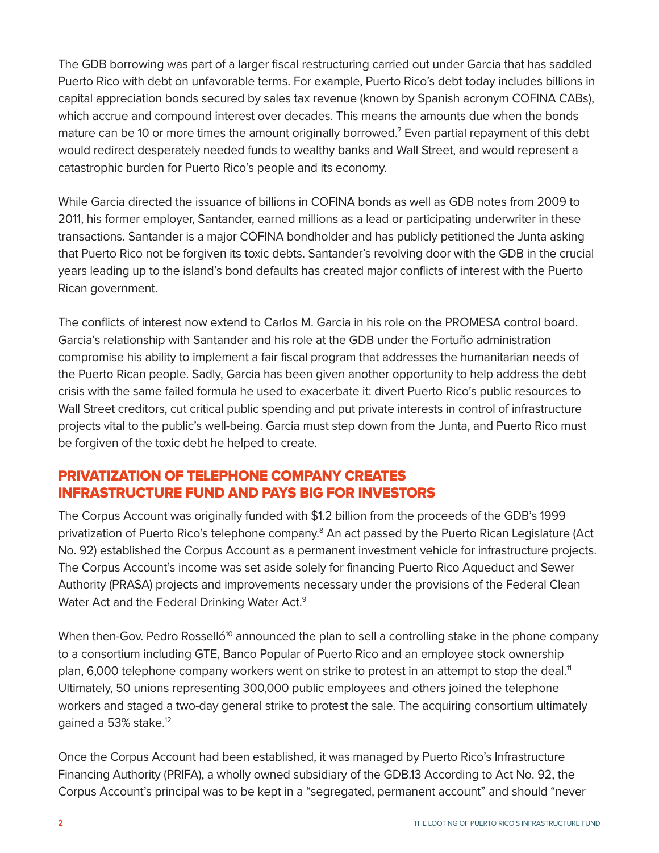The GDB borrowing was part of a larger fiscal restructuring carried out under Garcia that has saddled Puerto Rico with debt on unfavorable terms. For example, Puerto Rico's debt today includes billions in capital appreciation bonds secured by sales tax revenue (known by Spanish acronym COFINA CABs), which accrue and compound interest over decades. This means the amounts due when the bonds mature can be 10 or more times the amount originally borrowed.7 Even partial repayment of this debt would redirect desperately needed funds to wealthy banks and Wall Street, and would represent a catastrophic burden for Puerto Rico's people and its economy.

While Garcia directed the issuance of billions in COFINA bonds as well as GDB notes from 2009 to 2011, his former employer, Santander, earned millions as a lead or participating underwriter in these transactions. Santander is a major COFINA bondholder and has publicly petitioned the Junta asking that Puerto Rico not be forgiven its toxic debts. Santander's revolving door with the GDB in the crucial years leading up to the island's bond defaults has created major conflicts of interest with the Puerto Rican government.

The conflicts of interest now extend to Carlos M. Garcia in his role on the PROMESA control board. Garcia's relationship with Santander and his role at the GDB under the Fortuño administration compromise his ability to implement a fair fiscal program that addresses the humanitarian needs of the Puerto Rican people. Sadly, Garcia has been given another opportunity to help address the debt crisis with the same failed formula he used to exacerbate it: divert Puerto Rico's public resources to Wall Street creditors, cut critical public spending and put private interests in control of infrastructure projects vital to the public's well-being. Garcia must step down from the Junta, and Puerto Rico must be forgiven of the toxic debt he helped to create.

# PRIVATIZATION OF TELEPHONE COMPANY CREATES INFRASTRUCTURE FUND AND PAYS BIG FOR INVESTORS

The Corpus Account was originally funded with \$1.2 billion from the proceeds of the GDB's 1999 privatization of Puerto Rico's telephone company.<sup>8</sup> An act passed by the Puerto Rican Legislature (Act No. 92) established the Corpus Account as a permanent investment vehicle for infrastructure projects. The Corpus Account's income was set aside solely for financing Puerto Rico Aqueduct and Sewer Authority (PRASA) projects and improvements necessary under the provisions of the Federal Clean Water Act and the Federal Drinking Water Act.<sup>9</sup>

When then-Gov. Pedro Rosselló<sup>10</sup> announced the plan to sell a controlling stake in the phone company to a consortium including GTE, Banco Popular of Puerto Rico and an employee stock ownership plan, 6,000 telephone company workers went on strike to protest in an attempt to stop the deal.<sup>11</sup> Ultimately, 50 unions representing 300,000 public employees and others joined the telephone workers and staged a two-day general strike to protest the sale. The acquiring consortium ultimately gained a 53% stake.<sup>12</sup>

Once the Corpus Account had been established, it was managed by Puerto Rico's Infrastructure Financing Authority (PRIFA), a wholly owned subsidiary of the GDB.13 According to Act No. 92, the Corpus Account's principal was to be kept in a "segregated, permanent account" and should "never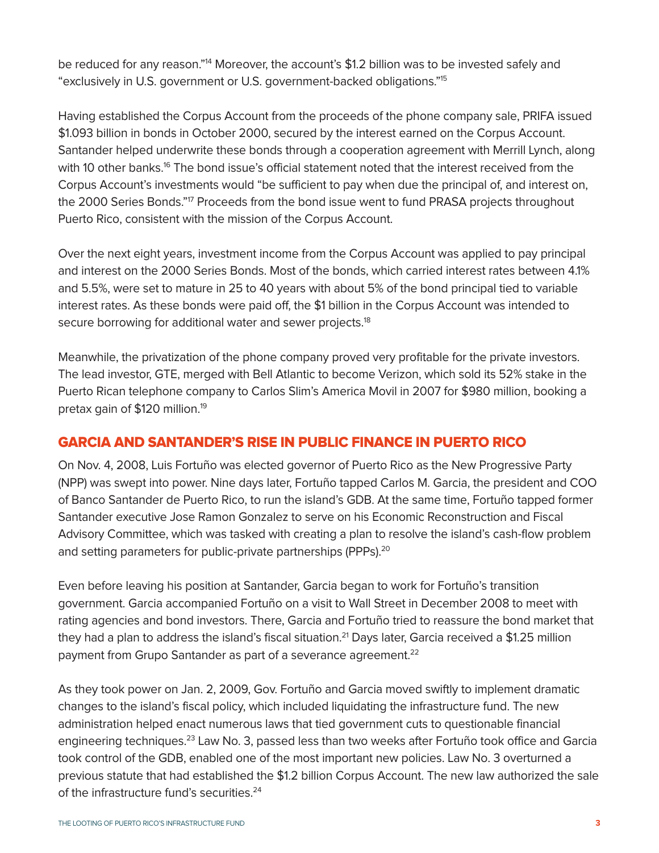be reduced for any reason."<sup>14</sup> Moreover, the account's \$1.2 billion was to be invested safely and "exclusively in U.S. government or U.S. government-backed obligations."15

Having established the Corpus Account from the proceeds of the phone company sale, PRIFA issued \$1.093 billion in bonds in October 2000, secured by the interest earned on the Corpus Account. Santander helped underwrite these bonds through a cooperation agreement with Merrill Lynch, along with 10 other banks.<sup>16</sup> The bond issue's official statement noted that the interest received from the Corpus Account's investments would "be sufficient to pay when due the principal of, and interest on, the 2000 Series Bonds."<sup>17</sup> Proceeds from the bond issue went to fund PRASA projects throughout Puerto Rico, consistent with the mission of the Corpus Account.

Over the next eight years, investment income from the Corpus Account was applied to pay principal and interest on the 2000 Series Bonds. Most of the bonds, which carried interest rates between 4.1% and 5.5%, were set to mature in 25 to 40 years with about 5% of the bond principal tied to variable interest rates. As these bonds were paid off, the \$1 billion in the Corpus Account was intended to secure borrowing for additional water and sewer projects.<sup>18</sup>

Meanwhile, the privatization of the phone company proved very profitable for the private investors. The lead investor, GTE, merged with Bell Atlantic to become Verizon, which sold its 52% stake in the Puerto Rican telephone company to Carlos Slim's America Movil in 2007 for \$980 million, booking a pretax gain of \$120 million.<sup>19</sup>

# GARCIA AND SANTANDER'S RISE IN PUBLIC FINANCE IN PUERTO RICO

On Nov. 4, 2008, Luis Fortuño was elected governor of Puerto Rico as the New Progressive Party (NPP) was swept into power. Nine days later, Fortuño tapped Carlos M. Garcia, the president and COO of Banco Santander de Puerto Rico, to run the island's GDB. At the same time, Fortuño tapped former Santander executive Jose Ramon Gonzalez to serve on his Economic Reconstruction and Fiscal Advisory Committee, which was tasked with creating a plan to resolve the island's cash-flow problem and setting parameters for public-private partnerships (PPPs).<sup>20</sup>

Even before leaving his position at Santander, Garcia began to work for Fortuño's transition government. Garcia accompanied Fortuño on a visit to Wall Street in December 2008 to meet with rating agencies and bond investors. There, Garcia and Fortuño tried to reassure the bond market that they had a plan to address the island's fiscal situation.<sup>21</sup> Days later, Garcia received a \$1.25 million payment from Grupo Santander as part of a severance agreement.<sup>22</sup>

As they took power on Jan. 2, 2009, Gov. Fortuño and Garcia moved swiftly to implement dramatic changes to the island's fiscal policy, which included liquidating the infrastructure fund. The new administration helped enact numerous laws that tied government cuts to questionable financial engineering techniques.23 Law No. 3, passed less than two weeks after Fortuño took office and Garcia took control of the GDB, enabled one of the most important new policies. Law No. 3 overturned a previous statute that had established the \$1.2 billion Corpus Account. The new law authorized the sale of the infrastructure fund's securities.<sup>24</sup>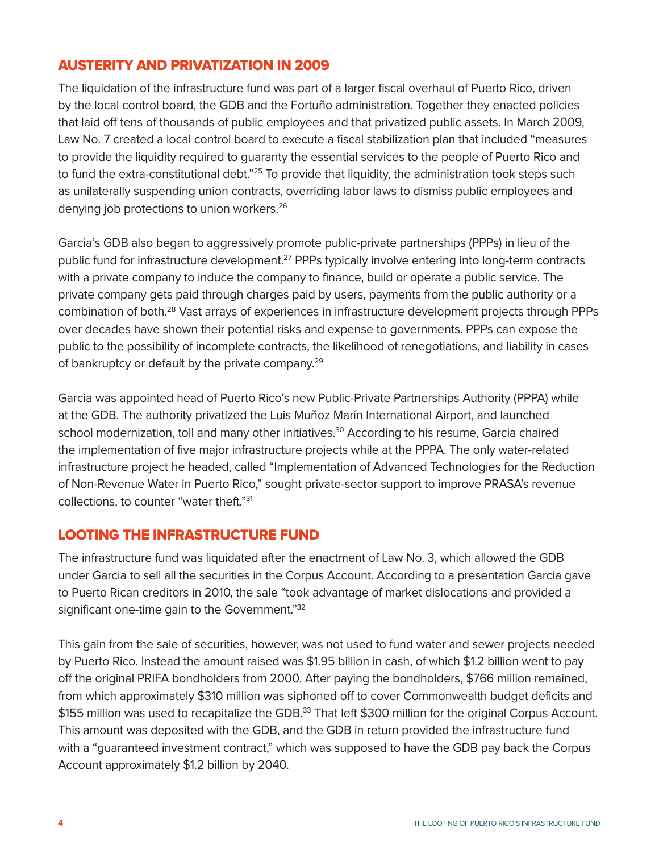# AUSTERITY AND PRIVATIZATION IN 2009

The liquidation of the infrastructure fund was part of a larger fiscal overhaul of Puerto Rico, driven by the local control board, the GDB and the Fortuño administration. Together they enacted policies that laid off tens of thousands of public employees and that privatized public assets. In March 2009, Law No. 7 created a local control board to execute a fiscal stabilization plan that included "measures to provide the liquidity required to guaranty the essential services to the people of Puerto Rico and to fund the extra-constitutional debt."<sup>25</sup> To provide that liquidity, the administration took steps such as unilaterally suspending union contracts, overriding labor laws to dismiss public employees and denying job protections to union workers.<sup>26</sup>

Garcia's GDB also began to aggressively promote public-private partnerships (PPPs) in lieu of the public fund for infrastructure development.<sup>27</sup> PPPs typically involve entering into long-term contracts with a private company to induce the company to finance, build or operate a public service. The private company gets paid through charges paid by users, payments from the public authority or a combination of both.28 Vast arrays of experiences in infrastructure development projects through PPPs over decades have shown their potential risks and expense to governments. PPPs can expose the public to the possibility of incomplete contracts, the likelihood of renegotiations, and liability in cases of bankruptcy or default by the private company.<sup>29</sup>

Garcia was appointed head of Puerto Rico's new Public-Private Partnerships Authority (PPPA) while at the GDB. The authority privatized the Luis Muñoz Marín International Airport, and launched school modernization, toll and many other initiatives.<sup>30</sup> According to his resume, Garcia chaired the implementation of five major infrastructure projects while at the PPPA. The only water-related infrastructure project he headed, called "Implementation of Advanced Technologies for the Reduction of Non-Revenue Water in Puerto Rico," sought private-sector support to improve PRASA's revenue collections, to counter "water theft."31

# LOOTING THE INFRASTRUCTURE FUND

The infrastructure fund was liquidated after the enactment of Law No. 3, which allowed the GDB under Garcia to sell all the securities in the Corpus Account. According to a presentation Garcia gave to Puerto Rican creditors in 2010, the sale "took advantage of market dislocations and provided a significant one-time gain to the Government."32

This gain from the sale of securities, however, was not used to fund water and sewer projects needed by Puerto Rico. Instead the amount raised was \$1.95 billion in cash, of which \$1.2 billion went to pay off the original PRIFA bondholders from 2000. After paying the bondholders, \$766 million remained, from which approximately \$310 million was siphoned off to cover Commonwealth budget deficits and \$155 million was used to recapitalize the GDB.<sup>33</sup> That left \$300 million for the original Corpus Account. This amount was deposited with the GDB, and the GDB in return provided the infrastructure fund with a "guaranteed investment contract," which was supposed to have the GDB pay back the Corpus Account approximately \$1.2 billion by 2040.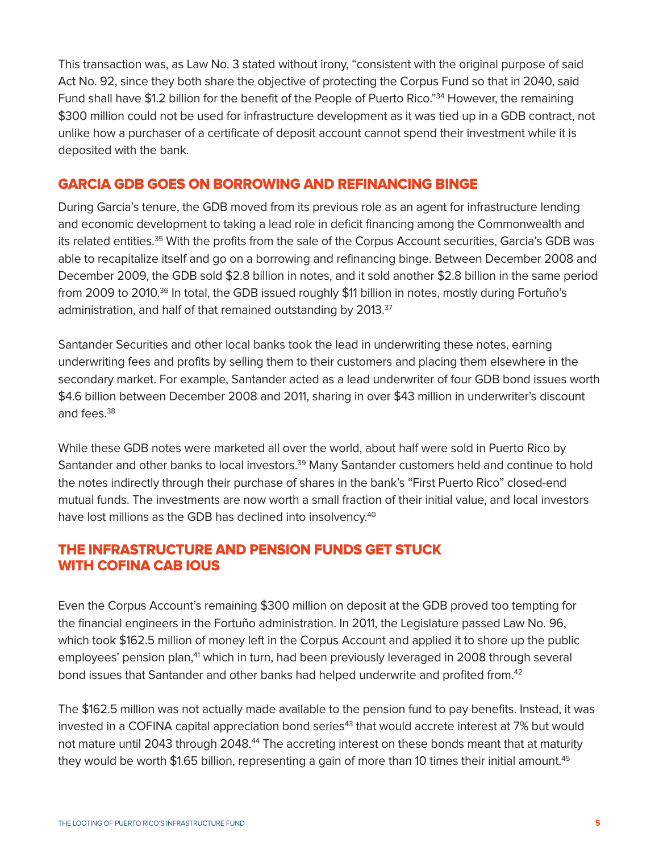This transaction was, as Law No. 3 stated without irony, "consistent with the original purpose of said Act No. 92, since they both share the objective of protecting the Corpus Fund so that in 2040, said Fund shall have \$1.2 billion for the benefit of the People of Puerto Rico."<sup>34</sup> However, the remaining \$300 million could not be used for infrastructure development as it was tied up in a GDB contract, not unlike how a purchaser of a certificate of deposit account cannot spend their investment while it is deposited with the bank.

#### GARCIA GDB GOES ON BORROWING AND REFINANCING BINGE

During Garcia's tenure, the GDB moved from its previous role as an agent for infrastructure lending and economic development to taking a lead role in deficit financing among the Commonwealth and its related entities.<sup>35</sup> With the profits from the sale of the Corpus Account securities, Garcia's GDB was able to recapitalize itself and go on a borrowing and refinancing binge. Between December 2008 and December 2009, the GDB sold \$2.8 billion in notes, and it sold another \$2.8 billion in the same period from 2009 to 2010.<sup>36</sup> In total, the GDB issued roughly \$11 billion in notes, mostly during Fortuño's administration, and half of that remained outstanding by 2013.<sup>37</sup>

Santander Securities and other local banks took the lead in underwriting these notes, earning underwriting fees and profits by selling them to their customers and placing them elsewhere in the secondary market. For example, Santander acted as a lead underwriter of four GDB bond issues worth \$4.6 billion between December 2008 and 2011, sharing in over \$43 million in underwriter's discount and fees.<sup>38</sup>

While these GDB notes were marketed all over the world, about half were sold in Puerto Rico by Santander and other banks to local investors.<sup>39</sup> Many Santander customers held and continue to hold the notes indirectly through their purchase of shares in the bank's "First Puerto Rico" closed-end mutual funds. The investments are now worth a small fraction of their initial value, and local investors have lost millions as the GDB has declined into insolvency.<sup>40</sup>

# THE INFRASTRUCTURE AND PENSION FUNDS GET STUCK WITH COFINA CAB IOUS

Even the Corpus Account's remaining \$300 million on deposit at the GDB proved too tempting for the financial engineers in the Fortuño administration. In 2011, the Legislature passed Law No. 96, which took \$162.5 million of money left in the Corpus Account and applied it to shore up the public employees' pension plan,<sup>41</sup> which in turn, had been previously leveraged in 2008 through several bond issues that Santander and other banks had helped underwrite and profited from.<sup>42</sup>

The \$162.5 million was not actually made available to the pension fund to pay benefits. Instead, it was invested in a COFINA capital appreciation bond series<sup>43</sup> that would accrete interest at 7% but would not mature until 2043 through 2048.<sup>44</sup> The accreting interest on these bonds meant that at maturity they would be worth \$1.65 billion, representing a gain of more than 10 times their initial amount.<sup>45</sup>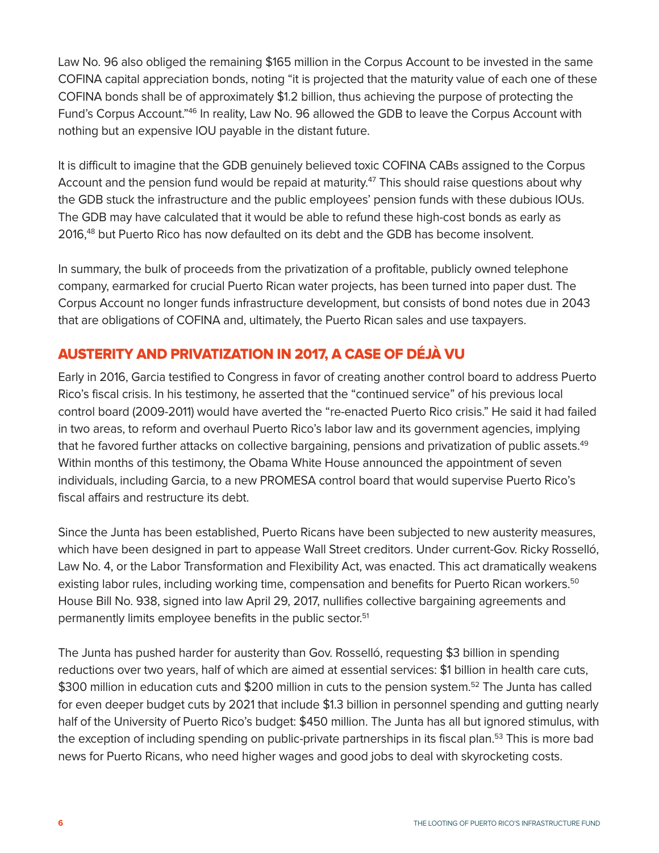Law No. 96 also obliged the remaining \$165 million in the Corpus Account to be invested in the same COFINA capital appreciation bonds, noting "it is projected that the maturity value of each one of these COFINA bonds shall be of approximately \$1.2 billion, thus achieving the purpose of protecting the Fund's Corpus Account."46 In reality, Law No. 96 allowed the GDB to leave the Corpus Account with nothing but an expensive IOU payable in the distant future.

It is difficult to imagine that the GDB genuinely believed toxic COFINA CABs assigned to the Corpus Account and the pension fund would be repaid at maturity.<sup>47</sup> This should raise questions about why the GDB stuck the infrastructure and the public employees' pension funds with these dubious IOUs. The GDB may have calculated that it would be able to refund these high-cost bonds as early as 2016,48 but Puerto Rico has now defaulted on its debt and the GDB has become insolvent.

In summary, the bulk of proceeds from the privatization of a profitable, publicly owned telephone company, earmarked for crucial Puerto Rican water projects, has been turned into paper dust. The Corpus Account no longer funds infrastructure development, but consists of bond notes due in 2043 that are obligations of COFINA and, ultimately, the Puerto Rican sales and use taxpayers.

# AUSTERITY AND PRIVATIZATION IN 2017, A CASE OF DÉJÀ VU

Early in 2016, Garcia testified to Congress in favor of creating another control board to address Puerto Rico's fiscal crisis. In his testimony, he asserted that the "continued service" of his previous local control board (2009-2011) would have averted the "re-enacted Puerto Rico crisis." He said it had failed in two areas, to reform and overhaul Puerto Rico's labor law and its government agencies, implying that he favored further attacks on collective bargaining, pensions and privatization of public assets.<sup>49</sup> Within months of this testimony, the Obama White House announced the appointment of seven individuals, including Garcia, to a new PROMESA control board that would supervise Puerto Rico's fiscal affairs and restructure its debt.

Since the Junta has been established, Puerto Ricans have been subjected to new austerity measures, which have been designed in part to appease Wall Street creditors. Under current-Gov. Ricky Rosselló, Law No. 4, or the Labor Transformation and Flexibility Act, was enacted. This act dramatically weakens existing labor rules, including working time, compensation and benefits for Puerto Rican workers.<sup>50</sup> House Bill No. 938, signed into law April 29, 2017, nullifies collective bargaining agreements and permanently limits employee benefits in the public sector.<sup>51</sup>

The Junta has pushed harder for austerity than Gov. Rosselló, requesting \$3 billion in spending reductions over two years, half of which are aimed at essential services: \$1 billion in health care cuts, \$300 million in education cuts and \$200 million in cuts to the pension system.<sup>52</sup> The Junta has called for even deeper budget cuts by 2021 that include \$1.3 billion in personnel spending and gutting nearly half of the University of Puerto Rico's budget: \$450 million. The Junta has all but ignored stimulus, with the exception of including spending on public-private partnerships in its fiscal plan.<sup>53</sup> This is more bad news for Puerto Ricans, who need higher wages and good jobs to deal with skyrocketing costs.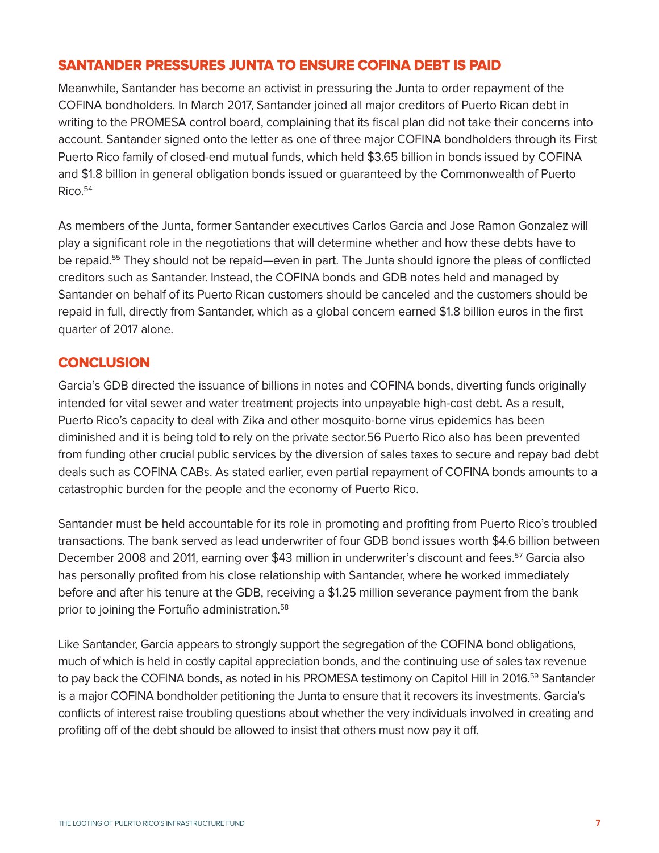#### SANTANDER PRESSURES JUNTA TO ENSURE COFINA DEBT IS PAID

Meanwhile, Santander has become an activist in pressuring the Junta to order repayment of the COFINA bondholders. In March 2017, Santander joined all major creditors of Puerto Rican debt in writing to the PROMESA control board, complaining that its fiscal plan did not take their concerns into account. Santander signed onto the letter as one of three major COFINA bondholders through its First Puerto Rico family of closed-end mutual funds, which held \$3.65 billion in bonds issued by COFINA and \$1.8 billion in general obligation bonds issued or guaranteed by the Commonwealth of Puerto Rico.54

As members of the Junta, former Santander executives Carlos Garcia and Jose Ramon Gonzalez will play a significant role in the negotiations that will determine whether and how these debts have to be repaid.<sup>55</sup> They should not be repaid—even in part. The Junta should ignore the pleas of conflicted creditors such as Santander. Instead, the COFINA bonds and GDB notes held and managed by Santander on behalf of its Puerto Rican customers should be canceled and the customers should be repaid in full, directly from Santander, which as a global concern earned \$1.8 billion euros in the first quarter of 2017 alone.

# **CONCLUSION**

Garcia's GDB directed the issuance of billions in notes and COFINA bonds, diverting funds originally intended for vital sewer and water treatment projects into unpayable high-cost debt. As a result, Puerto Rico's capacity to deal with Zika and other mosquito-borne virus epidemics has been diminished and it is being told to rely on the private sector.56 Puerto Rico also has been prevented from funding other crucial public services by the diversion of sales taxes to secure and repay bad debt deals such as COFINA CABs. As stated earlier, even partial repayment of COFINA bonds amounts to a catastrophic burden for the people and the economy of Puerto Rico.

Santander must be held accountable for its role in promoting and profiting from Puerto Rico's troubled transactions. The bank served as lead underwriter of four GDB bond issues worth \$4.6 billion between December 2008 and 2011, earning over \$43 million in underwriter's discount and fees.<sup>57</sup> Garcia also has personally profited from his close relationship with Santander, where he worked immediately before and after his tenure at the GDB, receiving a \$1.25 million severance payment from the bank prior to joining the Fortuño administration.<sup>58</sup>

Like Santander, Garcia appears to strongly support the segregation of the COFINA bond obligations, much of which is held in costly capital appreciation bonds, and the continuing use of sales tax revenue to pay back the COFINA bonds, as noted in his PROMESA testimony on Capitol Hill in 2016.<sup>59</sup> Santander is a major COFINA bondholder petitioning the Junta to ensure that it recovers its investments. Garcia's conflicts of interest raise troubling questions about whether the very individuals involved in creating and profiting off of the debt should be allowed to insist that others must now pay it off.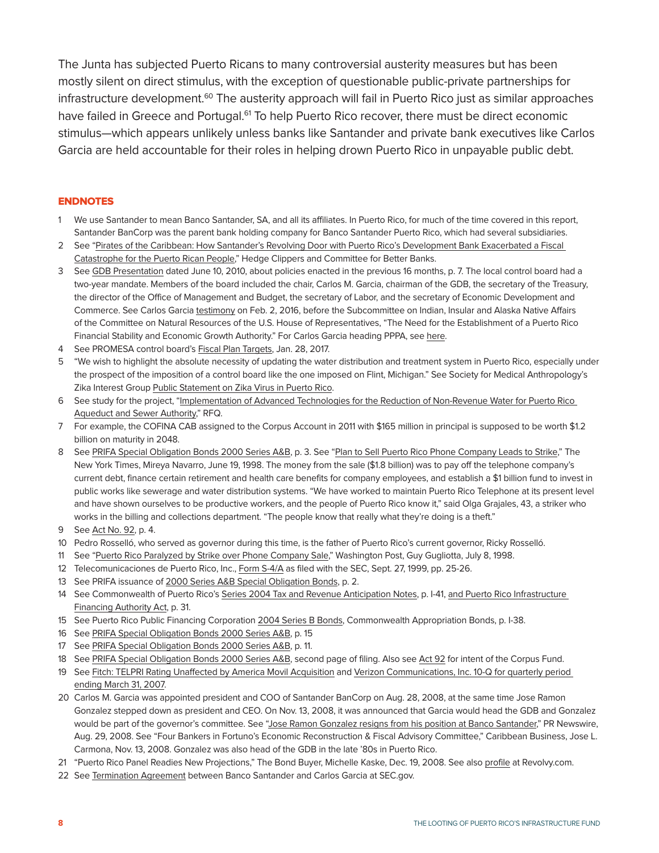The Junta has subjected Puerto Ricans to many controversial austerity measures but has been mostly silent on direct stimulus, with the exception of questionable public-private partnerships for infrastructure development.<sup>60</sup> The austerity approach will fail in Puerto Rico just as similar approaches have failed in Greece and Portugal.<sup>61</sup> To help Puerto Rico recover, there must be direct economic stimulus—which appears unlikely unless banks like Santander and private bank executives like Carlos Garcia are held accountable for their roles in helping drown Puerto Rico in unpayable public debt.

#### ENDNOTES

- 1 We use Santander to mean Banco Santander, SA, and all its affiliates. In Puerto Rico, for much of the time covered in this report, Santander BanCorp was the parent bank holding company for Banco Santander Puerto Rico, which had several subsidiaries.
- 2 See ["Pirates of the Caribbean: How Santander's Revolving Door with Puerto Rico's Development Bank Exacerbated a Fiscal](http://hedgeclippers.org/pirates-of-the-caribbean-how-santanders-revolving-door-with-puerto-ricos-development-bank-exacerbated-a-fiscal-catastrophe-for-the-puerto-rican-people/)  [Catastrophe for the Puerto Rican People,](http://hedgeclippers.org/pirates-of-the-caribbean-how-santanders-revolving-door-with-puerto-ricos-development-bank-exacerbated-a-fiscal-catastrophe-for-the-puerto-rican-people/)" Hedge Clippers and Committee for Better Banks.
- 3 See [GDB Presentation](http://www.camarapr.org/presentaciones/British/6-British_Alvarez_2.pdf) dated June 10, 2010, about policies enacted in the previous 16 months, p. 7. The local control board had a two-year mandate. Members of the board included the chair, Carlos M. Garcia, chairman of the GDB, the secretary of the Treasury, the director of the Office of Management and Budget, the secretary of Labor, and the secretary of Economic Development and Commerce. See Carlos Garcia [testimony](http://democrats-naturalresources.house.gov/imo/media/doc/garcia_testimony_updated_2_3_16.pdf) on Feb. 2, 2016, before the Subcommittee on Indian, Insular and Alaska Native Affairs of the Committee on Natural Resources of the U.S. House of Representatives, "The Need for the Establishment of a Puerto Rico Financial Stability and Economic Growth Authority." For Carlos Garcia heading PPPA, see [here.](http://www.app.gobierno.pr/?p=939&lang=en)
- 4 See PROMESA control board's [Fiscal Plan Targets,](https://juntasupervision.pr.gov/wp-content/uploads/wpfd/50/588cd7c0e0274.pdf) Jan. 28, 2017.
- 5 "We wish to highlight the absolute necessity of updating the water distribution and treatment system in Puerto Rico, especially under the prospect of the imposition of a control board like the one imposed on Flint, Michigan." See Society for Medical Anthropology's Zika Interest Group Public Statement on Zika Virus in Puerto Rico.
- 6 See study for the project, ["Implementation of Advanced Technologies for the Reduction of Non-Revenue Water for Puerto Rico](http://www.app.gobierno.pr/wp-content/uploads/2010/10/PRASAPPPRFQ-FINAL06-15-2010-11.pdf)  [Aqueduct and Sewer Authority](http://www.app.gobierno.pr/wp-content/uploads/2010/10/PRASAPPPRFQ-FINAL06-15-2010-11.pdf)," RFQ.
- 7 For example, the COFINA CAB assigned to the Corpus Account in 2011 with \$165 million in principal is supposed to be worth \$1.2 billion on maturity in 2048.
- 8 See [PRIFA Special Obligation Bonds 2000 Series A&B,](https://emma.msrb.org/MS172007-MS147315-MD284227.pdf) p. 3. See ["Plan to Sell Puerto Rico Phone Company Leads to Strike](http://www.nytimes.com/1998/06/19/us/plan-to-sell-puerto-rico-phone-company-leads-to-strike.html)," The New York Times, Mireya Navarro, June 19, 1998. The money from the sale (\$1.8 billion) was to pay off the telephone company's current debt, finance certain retirement and health care benefits for company employees, and establish a \$1 billion fund to invest in public works like sewerage and water distribution systems. "We have worked to maintain Puerto Rico Telephone at its present level and have shown ourselves to be productive workers, and the people of Puerto Rico know it," said Olga Grajales, 43, a striker who works in the billing and collections department. "The people know that really what they're doing is a theft."
- 9 See [Act No. 92,](http://www.oslpr.org/download/en/1998/0092.pdf) p. 4.
- 10 Pedro Rosselló, who served as governor during this time, is the father of Puerto Rico's current governor, Ricky Rosselló.
- 11 See ["Puerto Rico Paralyzed by Strike over Phone Company Sale](https://www.washingtonpost.com/archive/politics/1998/07/08/puerto-rico-paralyzed-by-strike-over-phone-company-sale/f8dee1a1-84cb-46d7-87ba-8658b4a325ce/)," Washington Post, Guy Gugliotta, July 8, 1998.
- 12 Telecomunicaciones de Puerto Rico, Inc., [Form S-4/A](https://www.sec.gov/Archives/edgar/data/1089357/000095012399008852/0000950123-99-008852.txt) as filed with the SEC, Sept. 27, 1999, pp. 25-26.
- 13 See PRIFA issuance of [2000 Series A&B Special Obligation Bonds,](http://emma.msrb.org/MS172007-MS147315-MD284227.pdf) p. 2.
- 14 See Commonwealth of Puerto Rico's [Series 2004 Tax and Revenue Anticipation Notes](http://www.gdb-pur.com/pdfs/public_corp/commonwealth/OSTRANSOctober2003.pdf), p. I-41, and Puerto Rico Infrastructure [Financing Authority Act,](http://www.bgfpr.com/2013/Eng/Perfil/documents/LeyOrganica-Eng.pdf) p. 31.
- 15 See Puerto Rico Public Financing Corporation [2004 Series B Bonds](http://www.gdb-pur.com/investors_resources/documents/2012-06-13-PRPFC1-OS-2004SeriesB.pdf), Commonwealth Appropriation Bonds, p. I-38.
- 16 See [PRIFA Special Obligation Bonds 2000 Series A&B,](https://emma.msrb.org/MS172007-MS147315-MD284227.pdf) p. 15
- 17 See [PRIFA Special Obligation Bonds 2000 Series A&B,](https://emma.msrb.org/MS172007-MS147315-MD284227.pdf) p. 11.
- 18 See [PRIFA Special Obligation Bonds 2000 Series A&B,](https://emma.msrb.org/MS172007-MS147315-MD284227.pdf) second page of filing. Also see [Act 92](http://www.oslpr.org/download/en/1998/0092.pdf) for intent of the Corpus Fund.
- 19 See [Fitch: TELPRI Rating Unaffected by America Movil Acquisition](http://www.businesswire.com/news/home/20060403006369/en/Fitch-TELPRI-Ratings-Unaffected-America-Movil-Acquisition) and [Verizon Communications, Inc. 10-Q for quarterly period](https://www.sec.gov/Archives/edgar/data/732712/000119312507102943/d10q.htm)  [ending March 31, 2007.](https://www.sec.gov/Archives/edgar/data/732712/000119312507102943/d10q.htm)
- 20 Carlos M. Garcia was appointed president and COO of Santander BanCorp on Aug. 28, 2008, at the same time Jose Ramon Gonzalez stepped down as president and CEO. On Nov. 13, 2008, it was announced that Garcia would head the GDB and Gonzalez would be part of the governor's committee. See ["Jose Ramon Gonzalez resigns from his position at Banco Santander](http://www.prnewswire.com/news-releases/mr-jose-ramon-gonzalez-resigns-from-his-position-at-santander-puerto-rico-64967152.html)," PR Newswire, Aug. 29, 2008. See "Four Bankers in Fortuno's Economic Reconstruction & Fiscal Advisory Committee," Caribbean Business, Jose L. Carmona, Nov. 13, 2008. Gonzalez was also head of the GDB in the late '80s in Puerto Rico.
- 21 "Puerto Rico Panel Readies New Projections," The Bond Buyer, Michelle Kaske, Dec. 19, 2008. See also [profile](https://www.revolvy.com/main/index.php?s=Carlos%20M.%20Garc%C3%ADa) at Revolvy.com.
- 22 See [Termination Agreement](https://www.sec.gov/Archives/edgar/data/1099958/000095014409002186/g18038exv10w19.htm) between Banco Santander and Carlos Garcia at SEC.gov.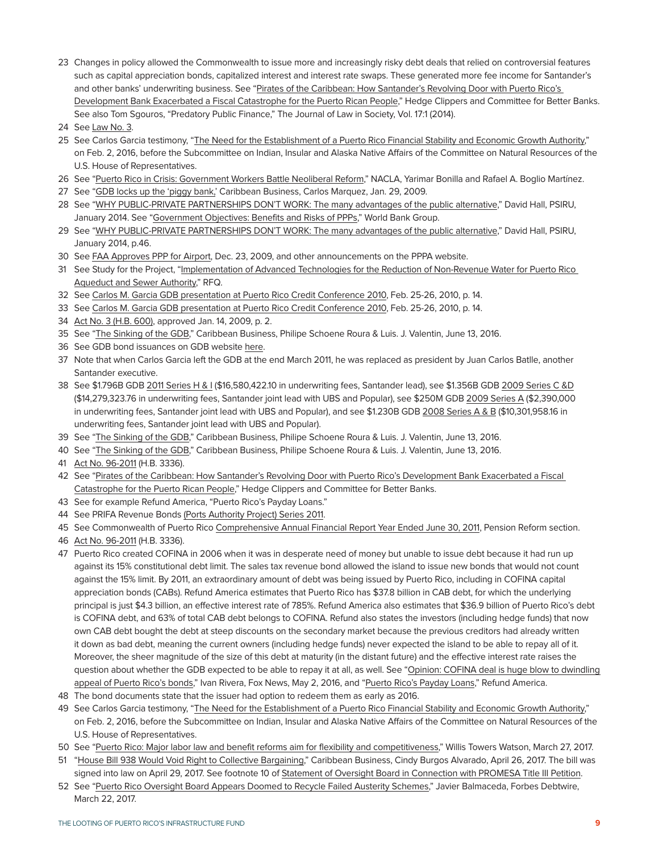- 23 Changes in policy allowed the Commonwealth to issue more and increasingly risky debt deals that relied on controversial features such as capital appreciation bonds, capitalized interest and interest rate swaps. These generated more fee income for Santander's and other banks' underwriting business. See ["Pirates of the Caribbean: How Santander's Revolving Door with Puerto Rico's](http://hedgeclippers.org/pirates-of-the-caribbean-how-santanders-revolving-door-with-puerto-ricos-development-bank-exacerbated-a-fiscal-catastrophe-for-the-puerto-rican-people/)  [Development Bank Exacerbated a Fiscal Catastrophe for the Puerto Rican People,](http://hedgeclippers.org/pirates-of-the-caribbean-how-santanders-revolving-door-with-puerto-ricos-development-bank-exacerbated-a-fiscal-catastrophe-for-the-puerto-rican-people/)" Hedge Clippers and Committee for Better Banks. See also Tom Sgouros, "Predatory Public Finance," The Journal of Law in Society, Vol. 17:1 (2014).
- 24 See [Law No. 3](http://www.bgfpr.com/2013/Eng/Perfil/documents/LeyOrganica-Eng.pdf).
- 25 See Carlos Garcia testimony, ["The Need for the Establishment of a Puerto Rico Financial Stability and Economic Growth Authority](http://democrats-naturalresources.house.gov/imo/media/doc/garcia_testimony_updated_2_3_16.pdf)," on Feb. 2, 2016, before the Subcommittee on Indian, Insular and Alaska Native Affairs of the Committee on Natural Resources of the U.S. House of Representatives.
- 26 See ["Puerto Rico in Crisis: Government Workers Battle Neoliberal Reform](https://nacla.org/article/puerto-rico-crisis-government-workers-battle-neoliberal-reform)," NACLA, Yarimar Bonilla and Rafael A. Boglio Martínez.
- 27 See ["GDB locks up the 'piggy bank,'](http://www.gdb-pur.com/PRCC/documents/Jan.292009CBFront-PageStory.pdf) Caribbean Business, Carlos Marquez, Jan. 29, 2009.
- 28 See ["WHY PUBLIC-PRIVATE PARTNERSHIPS DON'T WORK: The many advantages of the public alternative](http://www.world-psi.org/sites/default/files/rapport_eng_56pages_a4_lr.pdf)," David Hall, PSIRU, January 2014. See ["Government Objectives: Benefits and Risks of PPPs](http://ppp.worldbank.org/public-private-partnership/overview/ppp-objectives)," World Bank Group.
- 29 See ["WHY PUBLIC-PRIVATE PARTNERSHIPS DON'T WORK: The many advantages of the public alternative](http://www.world-psi.org/sites/default/files/rapport_eng_56pages_a4_lr.pdf)," David Hall, PSIRU, January 2014, p.46.
- 30 See [FAA Approves PPP for Airport,](http://www.app.gobierno.pr/?p=927&lang=en) Dec. 23, 2009, and other announcements on the PPPA website.
- 31 See Study for the Project, ["Implementation of Advanced Technologies for the Reduction of Non-Revenue Water for Puerto Rico](http://www.app.gobierno.pr/wp-content/uploads/2010/10/PRASAPPPRFQ-FINAL06-15-2010-11.pdf)  [Aqueduct and Sewer Authority](http://www.app.gobierno.pr/wp-content/uploads/2010/10/PRASAPPPRFQ-FINAL06-15-2010-11.pdf)," RFQ.
- 32 See [Carlos M. Garcia GDB presentation at Puerto Rico Credit Conference 2010](https://gdbapp.gdb-pur.com/prcreditconference/documents/2010PRCC-GovernmentDevelopmentBankOverview.pdf), Feb. 25-26, 2010, p. 14.
- 33 See [Carlos M. Garcia GDB presentation at Puerto Rico Credit Conference 2010](https://gdbapp.gdb-pur.com/prcreditconference/documents/2010PRCC-GovernmentDevelopmentBankOverview.pdf), Feb. 25-26, 2010, p. 14.
- 34 [Act No. 3 \(H.B. 600\)](http://www.gdb-pur.com/publications-reports/bills/2009-01-14-Num3-AFI-CuentaCorpus-Enm-ING.pdf), approved Jan. 14, 2009, p. 2.
- 35 See ["The Sinking of the GDB,](http://caribbeanbusiness.com/the-sinking-of-the-gdb/)" Caribbean Business, Philipe Schoene Roura & Luis. J. Valentin, June 13, 2016.
- 36 See GDB bond issuances on GDB website [here.](http://www.gdb-pur.com/investors_resources/government_development_bank.html)
- 37 Note that when Carlos Garcia left the GDB at the end March 2011, he was replaced as president by Juan Carlos Batlle, another Santander executive.
- 38 See \$1.796B GDB [2011 Series H & I](http://www.gdb-pur.com/investors_resources/documents/2011-12-21-PRGovDevBank06a-FIN-1.pdf) (\$16,580,422.10 in underwriting fees, Santander lead), see \$1.356B GDB [2009 Series C &D](http://www.gdb-pur.com/investors_resources/documents/GDBFinalOS.pdf) (\$14,279,323.76 in underwriting fees, Santander joint lead with UBS and Popular), see \$250M GDB [2009 Series A](http://www.gdb-pur.com/pdfs/public_corp/gdb/2009-01-27-GDB-OS-250MM.pdf) (\$2,390,000 in underwriting fees, Santander joint lead with UBS and Popular), and see \$1.230B GDB [2008 Series A & B](http://www.gdb-pur.com/pdfs/public_corp/gdb/2008-12-22-GDB-OS-1.23MilMillones.pdf) (\$10,301,958.16 in underwriting fees, Santander joint lead with UBS and Popular).
- 39 See ["The Sinking of the GDB,](http://caribbeanbusiness.com/the-sinking-of-the-gdb/)" Caribbean Business, Philipe Schoene Roura & Luis. J. Valentin, June 13, 2016.
- 40 See ["The Sinking of the GDB,](http://caribbeanbusiness.com/the-sinking-of-the-gdb/)" Caribbean Business, Philipe Schoene Roura & Luis. J. Valentin, June 13, 2016.
- 41 [Act No. 96-2011](http://www.oslpr.org/download/en/2011/A-0096-2011.pdf) (H.B. 3336).
- 42 See ["Pirates of the Caribbean: How Santander's Revolving Door with Puerto Rico's Development Bank Exacerbated a Fiscal](http://hedgeclippers.org/pirates-of-the-caribbean-how-santanders-revolving-door-with-puerto-ricos-development-bank-exacerbated-a-fiscal-catastrophe-for-the-puerto-rican-people/)  [Catastrophe for the Puerto Rican People,](http://hedgeclippers.org/pirates-of-the-caribbean-how-santanders-revolving-door-with-puerto-ricos-development-bank-exacerbated-a-fiscal-catastrophe-for-the-puerto-rican-people/)" Hedge Clippers and Committee for Better Banks.
- 43 See for example Refund America, "Puerto Rico's Payday Loans."
- 44 See PRIFA Revenue Bonds [\(Ports Authority Project\) Series 2011.](http://www.gdb-pur.com/investors_resources/documents/2011-12-16-PRInfrastructure01b-FIN_000.pdf)
- 45 See Commonwealth of Puerto Rico [Comprehensive Annual Financial Report Year Ended June 30, 2011,](http://abrepr.org/sites/default/files/PR%20FINANCIAL%20REPORT%202011.pdf) Pension Reform section.
- 46 [Act No. 96-2011](http://www.oslpr.org/download/en/2011/A-0096-2011.pdf) (H.B. 3336).
- 47 Puerto Rico created COFINA in 2006 when it was in desperate need of money but unable to issue debt because it had run up against its 15% constitutional debt limit. The sales tax revenue bond allowed the island to issue new bonds that would not count against the 15% limit. By 2011, an extraordinary amount of debt was being issued by Puerto Rico, including in COFINA capital appreciation bonds (CABs). Refund America estimates that Puerto Rico has \$37.8 billion in CAB debt, for which the underlying principal is just \$4.3 billion, an effective interest rate of 785%. Refund America also estimates that \$36.9 billion of Puerto Rico's debt is COFINA debt, and 63% of total CAB debt belongs to COFINA. Refund also states the investors (including hedge funds) that now own CAB debt bought the debt at steep discounts on the secondary market because the previous creditors had already written it down as bad debt, meaning the current owners (including hedge funds) never expected the island to be able to repay all of it. Moreover, the sheer magnitude of the size of this debt at maturity (in the distant future) and the effective interest rate raises the question about whether the GDB expected to be able to repay it at all, as well. See "Opinion: COFINA deal is huge blow to dwindling [appeal of Puerto Rico's bonds](http://www.foxnews.com/opinion/2016/05/02/opinion-cofina-deal-is-huge-blow-to-dwindling-attractiveness-puerto-ricos-bonds.html)," Ivan Rivera, Fox News, May 2, 2016, and "[Puerto Rico's Payday Loans](https://bibliotecavirtualpr.files.wordpress.com/2017/04/2016-2017-refund-america-debt-pr-english.pdf)," Refund America.
- 48 The bond documents state that the issuer had option to redeem them as early as 2016.
- 49 See Carlos Garcia testimony, ["The Need for the Establishment of a Puerto Rico Financial Stability and Economic Growth Authority](http://democrats-naturalresources.house.gov/imo/media/doc/garcia_testimony_updated_2_3_16.pdf)," on Feb. 2, 2016, before the Subcommittee on Indian, Insular and Alaska Native Affairs of the Committee on Natural Resources of the U.S. House of Representatives.
- 50 See ["Puerto Rico: Major labor law and benefit reforms aim for flexibility and competitiveness](https://www.towerswatson.com/en/Insights/Newsletters/Global/global-news-briefs/2017/03/puerto-rico-major-labor-law-and-benefit-reforms-aim-for-flexibility-and-competitiveness)," Willis Towers Watson, March 27, 2017.
- 51 ["House Bill 938 Would Void Right to Collective Bargaining](http://caribbeanbusiness.com/house-bill-938-would-void-right-to-collective-bargaining/)," Caribbean Business, Cindy Burgos Alvarado, April 26, 2017. The bill was signed into law on April 29, 2017. See footnote 10 of [Statement of Oversight Board in Connection with PROMESA Title III Petition.](http://www.thedeal.com/pdf/sdoc/20170503/050317_puertoDECL.pdf)
- 52 See "Puerto Rico Oversight Board Appears Doomed to Recycle Failed Austerity Schemes," Javier Balmaceda, Forbes Debtwire, March 22, 2017.